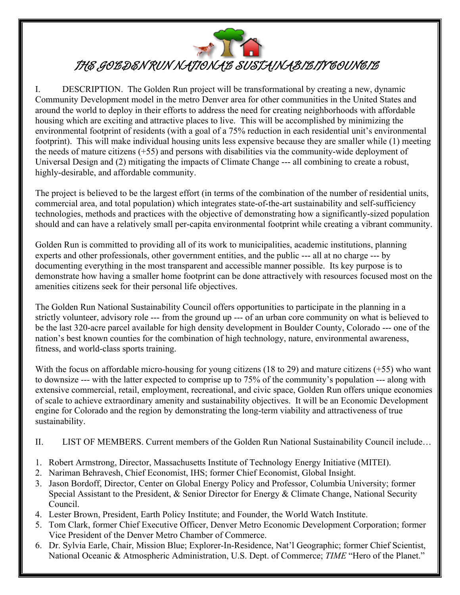

## THE GOBDEN RUN NATIONAB SUSTAINABIBITY COUNCIB

I. DESCRIPTION. The Golden Run project will be transformational by creating a new, dynamic Community Development model in the metro Denver area for other communities in the United States and around the world to deploy in their efforts to address the need for creating neighborhoods with affordable housing which are exciting and attractive places to live. This will be accomplished by minimizing the environmental footprint of residents (with a goal of a 75% reduction in each residential unit's environmental footprint). This will make individual housing units less expensive because they are smaller while (1) meeting the needs of mature citizens (+55) and persons with disabilities via the community-wide deployment of Universal Design and (2) mitigating the impacts of Climate Change --- all combining to create a robust, highly-desirable, and affordable community.

The project is believed to be the largest effort (in terms of the combination of the number of residential units, commercial area, and total population) which integrates state-of-the-art sustainability and self-sufficiency technologies, methods and practices with the objective of demonstrating how a significantly-sized population should and can have a relatively small per-capita environmental footprint while creating a vibrant community.

Golden Run is committed to providing all of its work to municipalities, academic institutions, planning experts and other professionals, other government entities, and the public --- all at no charge --- by documenting everything in the most transparent and accessible manner possible. Its key purpose is to demonstrate how having a smaller home footprint can be done attractively with resources focused most on the amenities citizens seek for their personal life objectives.

The Golden Run National Sustainability Council offers opportunities to participate in the planning in a strictly volunteer, advisory role --- from the ground up --- of an urban core community on what is believed to be the last 320-acre parcel available for high density development in Boulder County, Colorado --- one of the nation's best known counties for the combination of high technology, nature, environmental awareness, fitness, and world-class sports training.

With the focus on affordable micro-housing for young citizens (18 to 29) and mature citizens (+55) who want to downsize --- with the latter expected to comprise up to 75% of the community's population --- along with extensive commercial, retail, employment, recreational, and civic space, Golden Run offers unique economies of scale to achieve extraordinary amenity and sustainability objectives. It will be an Economic Development engine for Colorado and the region by demonstrating the long-term viability and attractiveness of true sustainability.

- II. LIST OF MEMBERS. Current members of the Golden Run National Sustainability Council include…
- 1. Robert Armstrong, Director, Massachusetts Institute of Technology Energy Initiative (MITEI).
- 2. Nariman Behravesh, Chief Economist, IHS; former Chief Economist, Global Insight.

 $\parallel$ 

- 3. Jason Bordoff, Director, Center on Global Energy Policy and Professor, Columbia University; former Special Assistant to the President, & Senior Director for Energy & Climate Change, National Security Council.
- 4. Lester Brown, President, Earth Policy Institute; and Founder, the World Watch Institute.
- 5. Tom Clark, former Chief Executive Officer, Denver Metro Economic Development Corporation; former Vice President of the Denver Metro Chamber of Commerce.
- 6. Dr. Sylvia Earle, Chair, Mission Blue; Explorer-In-Residence, Nat'l Geographic; former Chief Scientist, National Oceanic & Atmospheric Administration, U.S. Dept. of Commerce; *TIME* "Hero of the Planet."